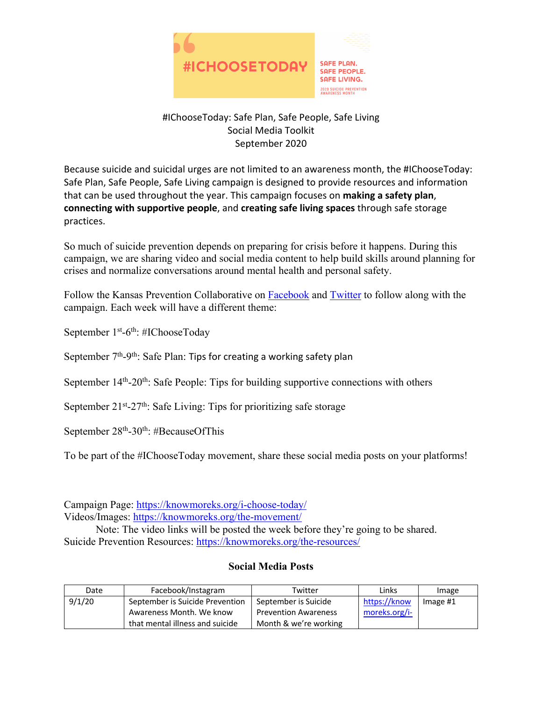

## #IChooseToday: Safe Plan, Safe People, Safe Living Social Media Toolkit September 2020

Because suicide and suicidal urges are not limited to an awareness month, the #IChooseToday: Safe Plan, Safe People, Safe Living campaign is designed to provide resources and information that can be used throughout the year. This campaign focuses on **making a safety plan**, **connecting with supportive people**, and **creating safe living spaces** through safe storage practices.

So much of suicide prevention depends on preparing for crisis before it happens. During this campaign, we are sharing video and social media content to help build skills around planning for crises and normalize conversations around mental health and personal safety.

Follow the Kansas Prevention Collaborative on Facebook and Twitter to follow along with the campaign. Each week will have a different theme:

September 1<sup>st</sup>-6<sup>th</sup>: #IChooseToday

September  $7<sup>th</sup>$ -9<sup>th</sup>: Safe Plan: Tips for creating a working safety plan

September  $14<sup>th</sup>$ -20<sup>th</sup>: Safe People: Tips for building supportive connections with others

September  $21^{st} - 27^{th}$ : Safe Living: Tips for prioritizing safe storage

September  $28<sup>th</sup> - 30<sup>th</sup>$ : #BecauseOfThis

To be part of the #IChooseToday movement, share these social media posts on your platforms!

Campaign Page: https://knowmoreks.org/i-choose-today/ Videos/Images: https://knowmoreks.org/the-movement/

Note: The video links will be posted the week before they're going to be shared. Suicide Prevention Resources: https://knowmoreks.org/the-resources/

## **Social Media Posts**

| Date   | Facebook/Instagram              | Twitter                     | Links         | Image      |
|--------|---------------------------------|-----------------------------|---------------|------------|
| 9/1/20 | September is Suicide Prevention | September is Suicide        | https://know  | Image $#1$ |
|        | Awareness Month. We know        | <b>Prevention Awareness</b> | moreks.org/i- |            |
|        | that mental illness and suicide | Month & we're working       |               |            |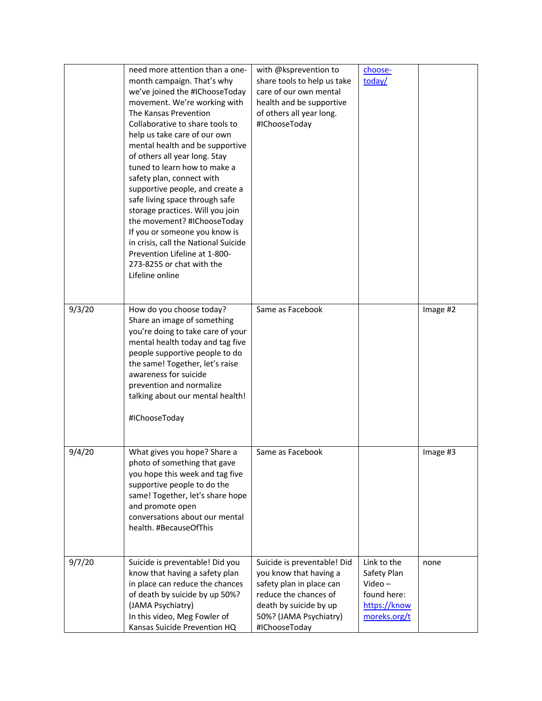|        | need more attention than a one-<br>month campaign. That's why<br>we've joined the #IChooseToday<br>movement. We're working with<br>The Kansas Prevention<br>Collaborative to share tools to<br>help us take care of our own<br>mental health and be supportive<br>of others all year long. Stay<br>tuned to learn how to make a<br>safety plan, connect with<br>supportive people, and create a<br>safe living space through safe<br>storage practices. Will you join<br>the movement? #IChooseToday<br>If you or someone you know is<br>in crisis, call the National Suicide<br>Prevention Lifeline at 1-800-<br>273-8255 or chat with the<br>Lifeline online | with @ksprevention to<br>share tools to help us take<br>care of our own mental<br>health and be supportive<br>of others all year long.<br>#IChooseToday                         | choose-<br>today/                                                                      |          |
|--------|----------------------------------------------------------------------------------------------------------------------------------------------------------------------------------------------------------------------------------------------------------------------------------------------------------------------------------------------------------------------------------------------------------------------------------------------------------------------------------------------------------------------------------------------------------------------------------------------------------------------------------------------------------------|---------------------------------------------------------------------------------------------------------------------------------------------------------------------------------|----------------------------------------------------------------------------------------|----------|
| 9/3/20 | How do you choose today?<br>Share an image of something<br>you're doing to take care of your<br>mental health today and tag five<br>people supportive people to do<br>the same! Together, let's raise<br>awareness for suicide<br>prevention and normalize<br>talking about our mental health!<br>#IChooseToday                                                                                                                                                                                                                                                                                                                                                | Same as Facebook                                                                                                                                                                |                                                                                        | Image #2 |
| 9/4/20 | What gives you hope? Share a<br>photo of something that gave<br>you hope this week and tag five<br>supportive people to do the<br>same! Together, let's share hope<br>and promote open<br>conversations about our mental<br>health. #BecauseOfThis                                                                                                                                                                                                                                                                                                                                                                                                             | Same as Facebook                                                                                                                                                                |                                                                                        | Image #3 |
| 9/7/20 | Suicide is preventable! Did you<br>know that having a safety plan<br>in place can reduce the chances<br>of death by suicide by up 50%?<br>(JAMA Psychiatry)<br>In this video, Meg Fowler of<br>Kansas Suicide Prevention HQ                                                                                                                                                                                                                                                                                                                                                                                                                                    | Suicide is preventable! Did<br>you know that having a<br>safety plan in place can<br>reduce the chances of<br>death by suicide by up<br>50%? (JAMA Psychiatry)<br>#IChooseToday | Link to the<br>Safety Plan<br>$Video -$<br>found here:<br>https://know<br>moreks.org/t | none     |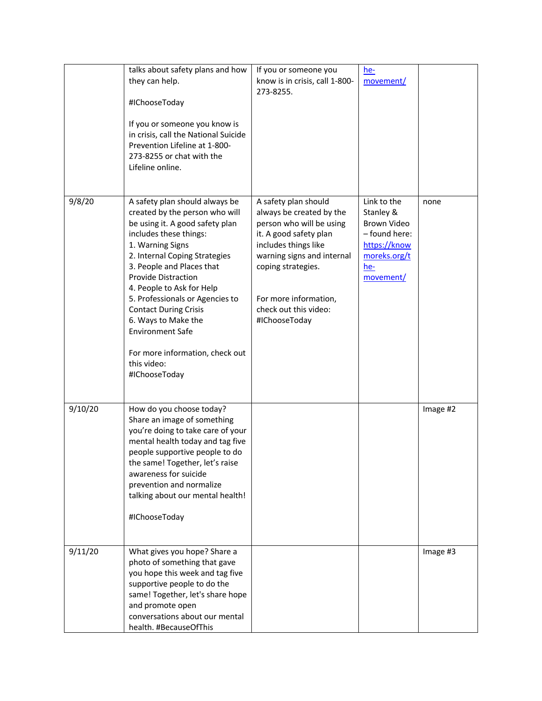|         | talks about safety plans and how<br>they can help.<br>#IChooseToday<br>If you or someone you know is<br>in crisis, call the National Suicide<br>Prevention Lifeline at 1-800-<br>273-8255 or chat with the<br>Lifeline online.                                                                                                                                                                                                                                     | If you or someone you<br>know is in crisis, call 1-800-<br>273-8255.                                                                                                                                                                                  | $he-$<br>movement/                                                                                           |          |
|---------|--------------------------------------------------------------------------------------------------------------------------------------------------------------------------------------------------------------------------------------------------------------------------------------------------------------------------------------------------------------------------------------------------------------------------------------------------------------------|-------------------------------------------------------------------------------------------------------------------------------------------------------------------------------------------------------------------------------------------------------|--------------------------------------------------------------------------------------------------------------|----------|
| 9/8/20  | A safety plan should always be<br>created by the person who will<br>be using it. A good safety plan<br>includes these things:<br>1. Warning Signs<br>2. Internal Coping Strategies<br>3. People and Places that<br><b>Provide Distraction</b><br>4. People to Ask for Help<br>5. Professionals or Agencies to<br><b>Contact During Crisis</b><br>6. Ways to Make the<br><b>Environment Safe</b><br>For more information, check out<br>this video:<br>#IChooseToday | A safety plan should<br>always be created by the<br>person who will be using<br>it. A good safety plan<br>includes things like<br>warning signs and internal<br>coping strategies.<br>For more information,<br>check out this video:<br>#IChooseToday | Link to the<br>Stanley &<br>Brown Video<br>- found here:<br>https://know<br>moreks.org/t<br>he-<br>movement/ | none     |
| 9/10/20 | How do you choose today?<br>Share an image of something<br>you're doing to take care of your<br>mental health today and tag five<br>people supportive people to do<br>the same! Together, let's raise<br>awareness for suicide<br>prevention and normalize<br>talking about our mental health!<br>#IChooseToday                                                                                                                                                    |                                                                                                                                                                                                                                                       |                                                                                                              | Image #2 |
| 9/11/20 | What gives you hope? Share a<br>photo of something that gave<br>you hope this week and tag five<br>supportive people to do the<br>same! Together, let's share hope<br>and promote open<br>conversations about our mental<br>health. #BecauseOfThis                                                                                                                                                                                                                 |                                                                                                                                                                                                                                                       |                                                                                                              | Image #3 |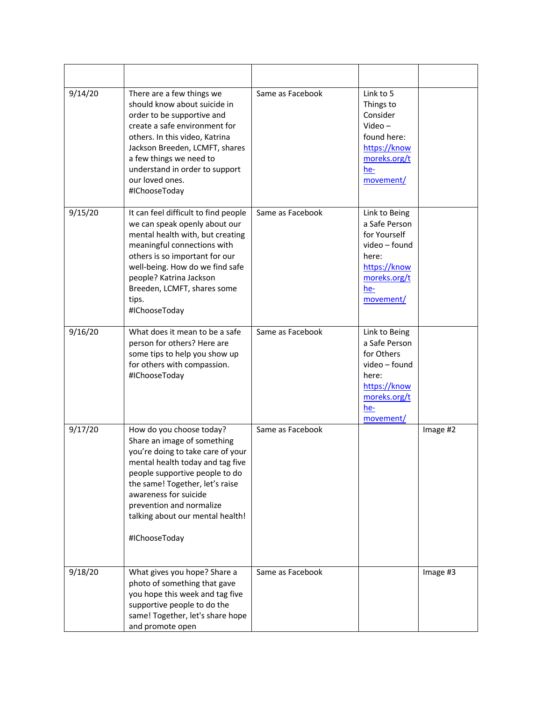| 9/14/20 | There are a few things we<br>should know about suicide in<br>order to be supportive and<br>create a safe environment for<br>others. In this video, Katrina<br>Jackson Breeden, LCMFT, shares<br>a few things we need to<br>understand in order to support<br>our loved ones.<br>#IChooseToday                   | Same as Facebook | Link to 5<br>Things to<br>Consider<br>$Video -$<br>found here:<br>https://know<br>moreks.org/t<br>he-<br>movement/           |          |
|---------|-----------------------------------------------------------------------------------------------------------------------------------------------------------------------------------------------------------------------------------------------------------------------------------------------------------------|------------------|------------------------------------------------------------------------------------------------------------------------------|----------|
| 9/15/20 | It can feel difficult to find people<br>we can speak openly about our<br>mental health with, but creating<br>meaningful connections with<br>others is so important for our<br>well-being. How do we find safe<br>people? Katrina Jackson<br>Breeden, LCMFT, shares some<br>tips.<br>#IChooseToday               | Same as Facebook | Link to Being<br>a Safe Person<br>for Yourself<br>video - found<br>here:<br>https://know<br>moreks.org/t<br>he-<br>movement/ |          |
| 9/16/20 | What does it mean to be a safe<br>person for others? Here are<br>some tips to help you show up<br>for others with compassion.<br>#IChooseToday                                                                                                                                                                  | Same as Facebook | Link to Being<br>a Safe Person<br>for Others<br>video - found<br>here:<br>https://know<br>moreks.org/t<br>he-<br>movement/   |          |
| 9/17/20 | How do you choose today?<br>Share an image of something<br>you're doing to take care of your<br>mental health today and tag five<br>people supportive people to do<br>the same! Together, let's raise<br>awareness for suicide<br>prevention and normalize<br>talking about our mental health!<br>#IChooseToday | Same as Facebook |                                                                                                                              | Image #2 |
| 9/18/20 | What gives you hope? Share a<br>photo of something that gave<br>you hope this week and tag five<br>supportive people to do the<br>same! Together, let's share hope<br>and promote open                                                                                                                          | Same as Facebook |                                                                                                                              | Image #3 |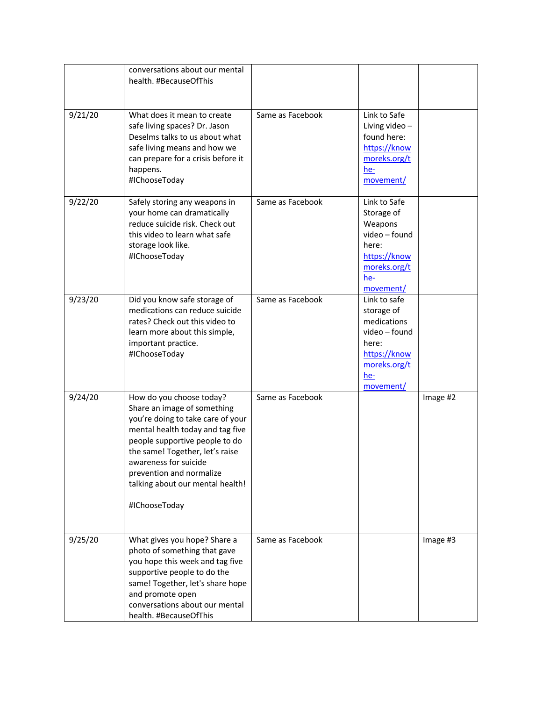|         | conversations about our mental<br>health. #BecauseOfThis                                                                                                                                                                                                                                                        |                  |                                                                                                                         |          |
|---------|-----------------------------------------------------------------------------------------------------------------------------------------------------------------------------------------------------------------------------------------------------------------------------------------------------------------|------------------|-------------------------------------------------------------------------------------------------------------------------|----------|
| 9/21/20 | What does it mean to create<br>safe living spaces? Dr. Jason<br>Deselms talks to us about what<br>safe living means and how we<br>can prepare for a crisis before it<br>happens.<br>#IChooseToday                                                                                                               | Same as Facebook | Link to Safe<br>Living video-<br>found here:<br>https://know<br>moreks.org/t<br>he-<br>movement/                        |          |
| 9/22/20 | Safely storing any weapons in<br>your home can dramatically<br>reduce suicide risk. Check out<br>this video to learn what safe<br>storage look like.<br>#IChooseToday                                                                                                                                           | Same as Facebook | Link to Safe<br>Storage of<br>Weapons<br>video - found<br>here:<br>https://know<br>moreks.org/t<br>he-<br>movement/     |          |
| 9/23/20 | Did you know safe storage of<br>medications can reduce suicide<br>rates? Check out this video to<br>learn more about this simple,<br>important practice.<br>#IChooseToday                                                                                                                                       | Same as Facebook | Link to safe<br>storage of<br>medications<br>video - found<br>here:<br>https://know<br>moreks.org/t<br>he-<br>movement/ |          |
| 9/24/20 | How do you choose today?<br>Share an image of something<br>you're doing to take care of your<br>mental health today and tag five<br>people supportive people to do<br>the same! Together, let's raise<br>awareness for suicide<br>prevention and normalize<br>talking about our mental health!<br>#IChooseToday | Same as Facebook |                                                                                                                         | Image #2 |
| 9/25/20 | What gives you hope? Share a<br>photo of something that gave<br>you hope this week and tag five<br>supportive people to do the<br>same! Together, let's share hope<br>and promote open<br>conversations about our mental<br>health. #BecauseOfThis                                                              | Same as Facebook |                                                                                                                         | Image #3 |